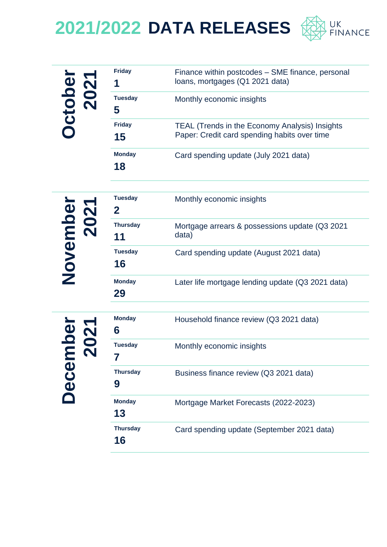

| <b>bei</b><br>02'<br>Ctol<br>$\overline{\mathbf{N}}$ | <b>Friday</b><br>ч  | Finance within postcodes – SME finance, personal<br>loans, mortgages (Q1 2021 data)                   |
|------------------------------------------------------|---------------------|-------------------------------------------------------------------------------------------------------|
|                                                      | <b>Tuesday</b><br>5 | Monthly economic insights                                                                             |
|                                                      | <b>Friday</b><br>15 | <b>TEAL (Trends in the Economy Analysis) Insights</b><br>Paper: Credit card spending habits over time |
|                                                      | <b>Monday</b><br>18 | Card spending update (July 2021 data)                                                                 |

|                         | <b>Tuesday</b><br>$\mathbf{2}$ | Monthly economic insights                               |
|-------------------------|--------------------------------|---------------------------------------------------------|
|                         | <b>Thursday</b><br>11          | Mortgage arrears & possessions update (Q3 2021<br>data) |
| <b>November</b><br>2021 | <b>Tuesday</b><br>16           | Card spending update (August 2021 data)                 |
|                         | <b>Monday</b><br>29            | Later life mortgage lending update (Q3 2021 data)       |
|                         | <b>Monday</b><br>6             | Household finance review (Q3 2021 data)                 |
|                         | <b>Tuesday</b>                 | Monthly economic insights                               |
| ecembel<br>2021         | <b>Thursday</b><br>9           | Business finance review (Q3 2021 data)                  |
|                         | <b>Monday</b><br>13            | Mortgage Market Forecasts (2022-2023)                   |
|                         | <b>Thursday</b><br>16          | Card spending update (September 2021 data)              |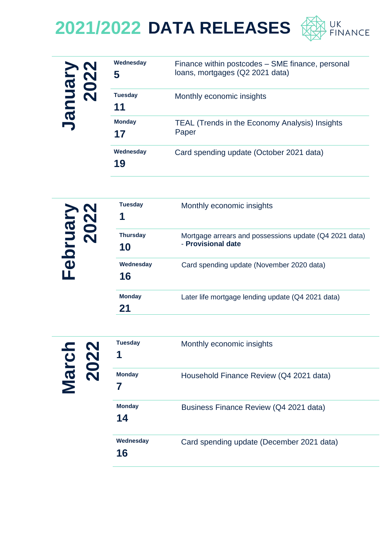

| nuary<br>2022<br>$\boldsymbol{\sigma}$<br>B | Wednesday<br>5       | Finance within postcodes – SME finance, personal<br>loans, mortgages (Q2 2021 data) |
|---------------------------------------------|----------------------|-------------------------------------------------------------------------------------|
|                                             | <b>Tuesday</b><br>11 | Monthly economic insights                                                           |
|                                             | <b>Monday</b><br>17  | TEAL (Trends in the Economy Analysis) Insights<br>Paper                             |
|                                             | Wednesday<br>19      | Card spending update (October 2021 data)                                            |

| $\mathbf{N}$<br>ruar<br>202<br>$\overline{\mathbf{e}}$ | <b>Tuesday</b><br>1   | Monthly economic insights                                                    |
|--------------------------------------------------------|-----------------------|------------------------------------------------------------------------------|
|                                                        | <b>Thursday</b><br>10 | Mortgage arrears and possessions update (Q4 2021 data)<br>- Provisional date |
|                                                        | Wednesday<br>16       | Card spending update (November 2020 data)                                    |
|                                                        | <b>Monday</b>         | Later life mortgage lending update (Q4 2021 data)                            |

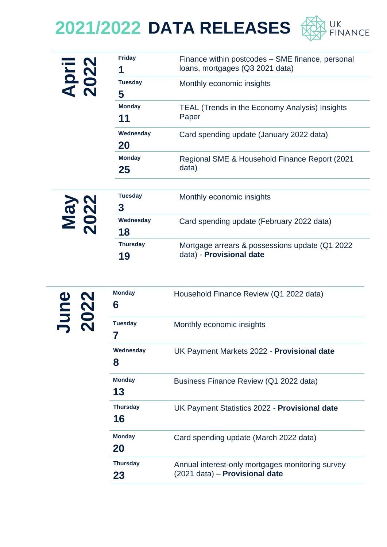

| <b>prill</b><br>022 | <b>Friday</b><br>1    | Finance within postcodes – SME finance, personal<br>loans, mortgages (Q3 2021 data) |
|---------------------|-----------------------|-------------------------------------------------------------------------------------|
|                     | <b>Tuesday</b><br>5   | Monthly economic insights                                                           |
|                     | <b>Monday</b><br>11   | <b>TEAL (Trends in the Economy Analysis) Insights</b><br>Paper                      |
|                     | Wednesday<br>20       | Card spending update (January 2022 data)                                            |
|                     | <b>Monday</b><br>25   | Regional SME & Household Finance Report (2021)<br>data)                             |
| <b>S<br/>22</b>     | <b>Tuesday</b><br>3   | Monthly economic insights                                                           |
| $\mathbf{v}$        | Wednesday<br>18       | Card spending update (February 2022 data)                                           |
|                     | <b>Thursday</b><br>19 | Mortgage arrears & possessions update (Q1 2022<br>data) - Provisional date          |

| $\mathbf N$<br>$\bullet$ | <b>Monday</b><br>6    | Household Finance Review (Q1 2022 data)                                            |
|--------------------------|-----------------------|------------------------------------------------------------------------------------|
|                          | <b>Tuesday</b>        | Monthly economic insights                                                          |
|                          | Wednesday<br>8        | UK Payment Markets 2022 - Provisional date                                         |
|                          | <b>Monday</b><br>13   | Business Finance Review (Q1 2022 data)                                             |
|                          | <b>Thursday</b><br>16 | UK Payment Statistics 2022 - Provisional date                                      |
|                          | <b>Monday</b><br>20   | Card spending update (March 2022 data)                                             |
|                          | <b>Thursday</b><br>23 | Annual interest-only mortgages monitoring survey<br>(2021 data) - Provisional date |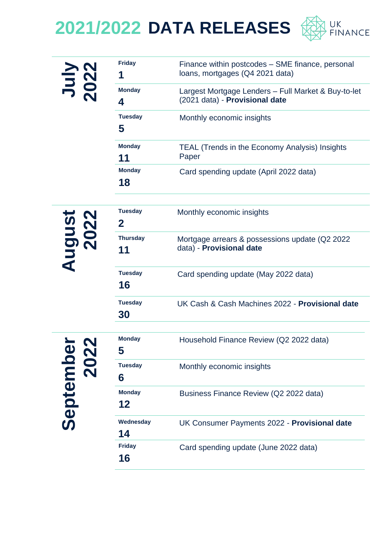

| 202               | <b>Friday</b><br>1             | Finance within postcodes - SME finance, personal<br>loans, mortgages (Q4 2021 data)   |
|-------------------|--------------------------------|---------------------------------------------------------------------------------------|
|                   | <b>Monday</b><br>4             | Largest Mortgage Lenders - Full Market & Buy-to-let<br>(2021 data) - Provisional date |
|                   | <b>Tuesday</b><br>5            | Monthly economic insights                                                             |
|                   | <b>Monday</b><br>11            | <b>TEAL (Trends in the Economy Analysis) Insights</b><br>Paper                        |
|                   | <b>Monday</b><br>18            | Card spending update (April 2022 data)                                                |
|                   | <b>Tuesday</b><br>$\mathbf{2}$ | Monthly economic insights                                                             |
| August<br>2022    | <b>Thursday</b><br>11          | Mortgage arrears & possessions update (Q2 2022)<br>data) - Provisional date           |
|                   | <b>Tuesday</b><br>16           | Card spending update (May 2022 data)                                                  |
|                   | <b>Tuesday</b><br>30           | UK Cash & Cash Machines 2022 - Provisional date                                       |
| September<br>2022 | <b>Monday</b><br>5             | Household Finance Review (Q2 2022 data)                                               |
|                   | <b>Tuesday</b><br>6            | Monthly economic insights                                                             |
|                   | <b>Monday</b><br>12            | Business Finance Review (Q2 2022 data)                                                |
|                   | Wednesday<br>14                | UK Consumer Payments 2022 - Provisional date                                          |
|                   | <b>Friday</b><br>16            | Card spending update (June 2022 data)                                                 |